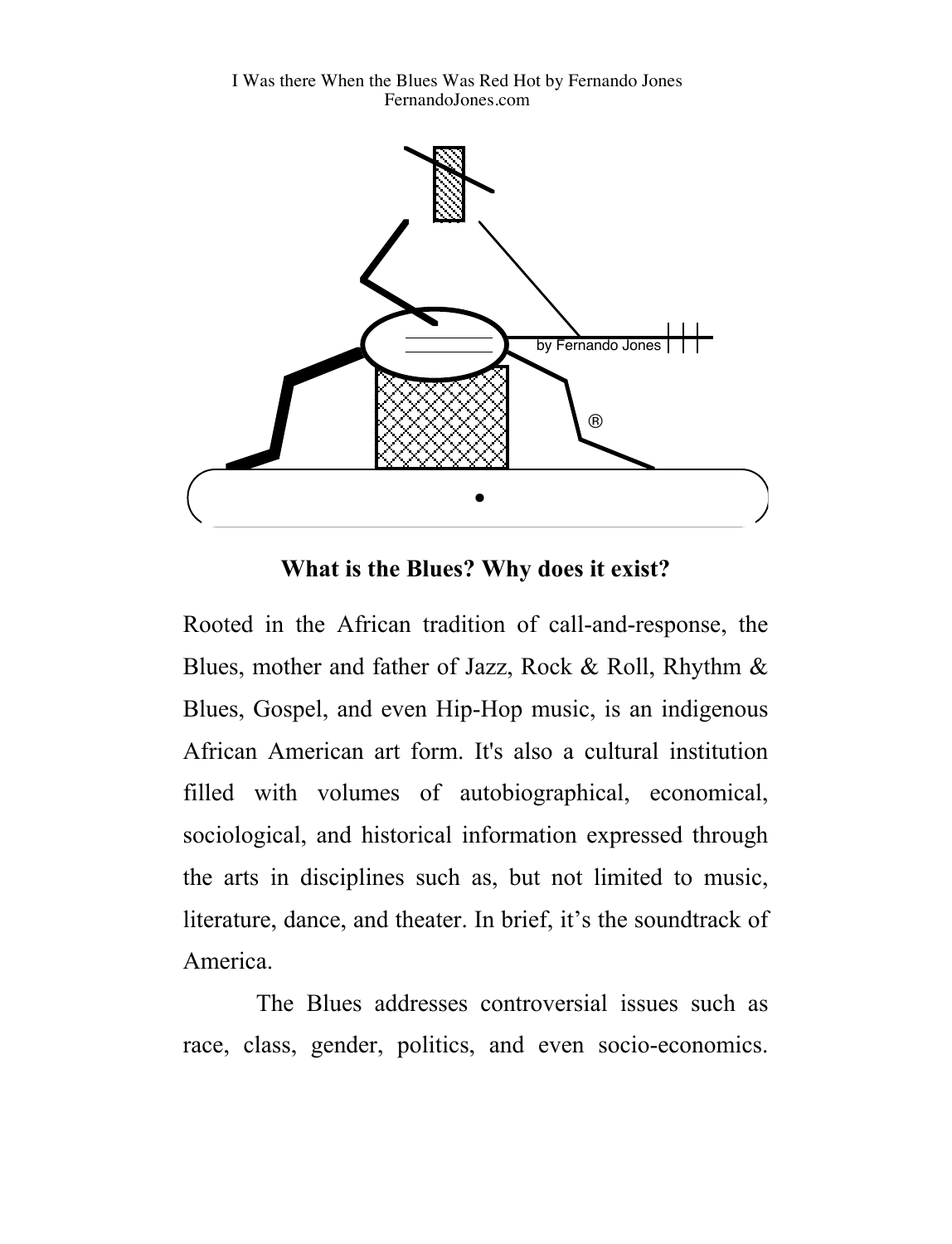I Was there When the Blues Was Red Hot by Fernando Jones FernandoJones.com



**What is the Blues? Why does it exist?**

Rooted in the African tradition of call-and-response, the Blues, mother and father of Jazz, Rock & Roll, Rhythm & Blues, Gospel, and even Hip-Hop music, is an indigenous African American art form. It's also a cultural institution filled with volumes of autobiographical, economical, sociological, and historical information expressed through the arts in disciplines such as, but not limited to music, literature, dance, and theater. In brief, it's the soundtrack of America.

The Blues addresses controversial issues such as race, class, gender, politics, and even socio-economics.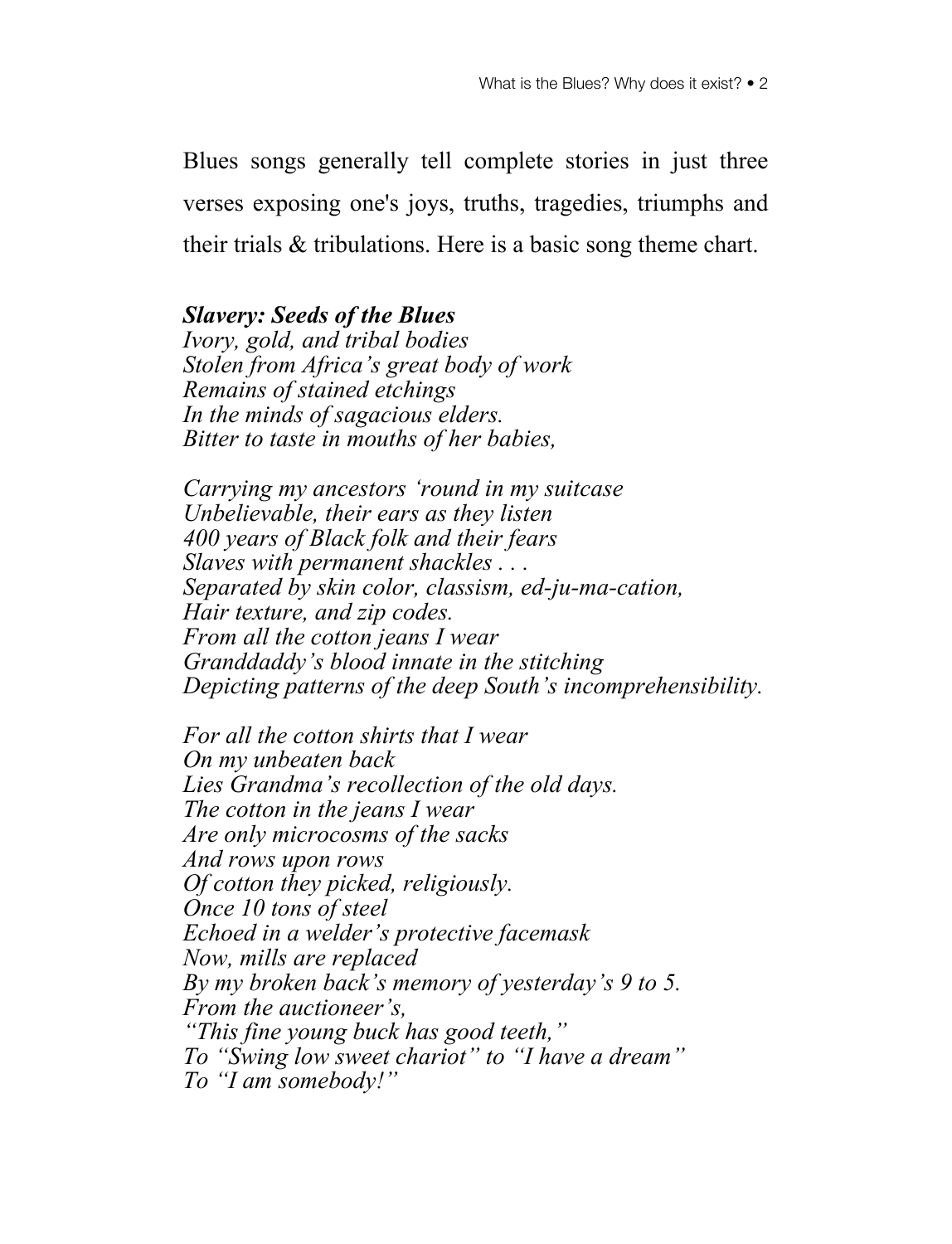Blues songs generally tell complete stories in just three verses exposing one's joys, truths, tragedies, triumphs and their trials & tribulations. Here is a basic song theme chart.

## *Slavery: Seeds of the Blues*

*Ivory, gold, and tribal bodies Stolen from Africa's great body of work Remains of stained etchings In the minds of sagacious elders. Bitter to taste in mouths of her babies,*

*Carrying my ancestors 'round in my suitcase Unbelievable, their ears as they listen 400 years of Black folk and their fears Slaves with permanent shackles . . . Separated by skin color, classism, ed-ju-ma-cation, Hair texture, and zip codes. From all the cotton jeans I wear Granddaddy's blood innate in the stitching Depicting patterns of the deep South's incomprehensibility.*

*For all the cotton shirts that I wear On my unbeaten back Lies Grandma's recollection of the old days. The cotton in the jeans I wear Are only microcosms of the sacks And rows upon rows Of cotton they picked, religiously. Once 10 tons of steel Echoed in a welder's protective facemask Now, mills are replaced By my broken back's memory of yesterday's 9 to 5. From the auctioneer's, "This fine young buck has good teeth," To "Swing low sweet chariot" to "I have a dream" To "I am somebody!"*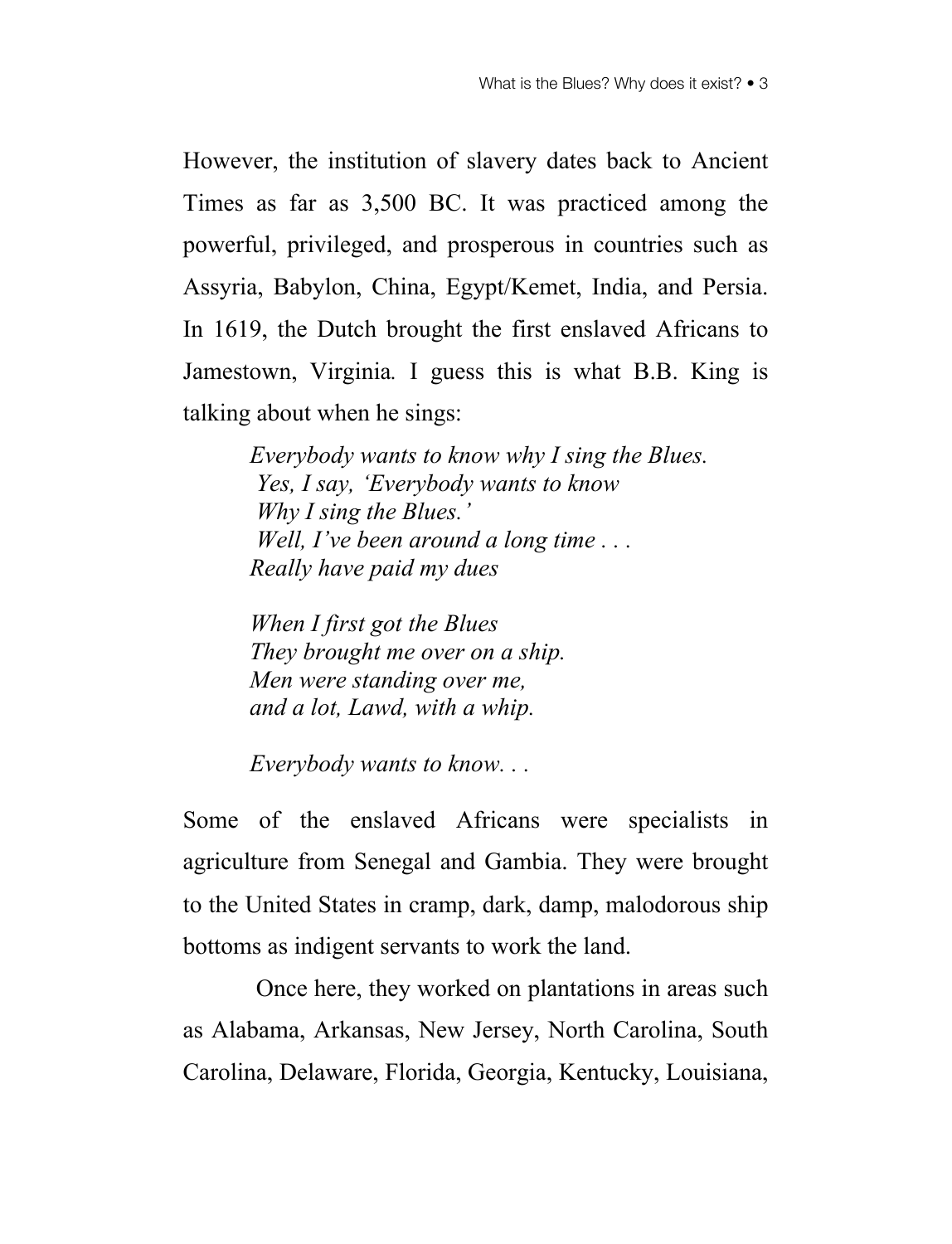However, the institution of slavery dates back to Ancient Times as far as 3,500 BC. It was practiced among the powerful, privileged, and prosperous in countries such as Assyria, Babylon, China, Egypt/Kemet, India, and Persia. In 1619, the Dutch brought the first enslaved Africans to Jamestown, Virginia*.* I guess this is what B.B. King is talking about when he sings:

> *Everybody wants to know why I sing the Blues. Yes, I say, 'Everybody wants to know Why I sing the Blues.' Well, I've been around a long time . . . Really have paid my dues*

*When I first got the Blues They brought me over on a ship. Men were standing over me, and a lot, Lawd, with a whip.*

*Everybody wants to know. . .*

Some of the enslaved Africans were specialists in agriculture from Senegal and Gambia. They were brought to the United States in cramp, dark, damp, malodorous ship bottoms as indigent servants to work the land.

Once here, they worked on plantations in areas such as Alabama, Arkansas, New Jersey, North Carolina, South Carolina, Delaware, Florida, Georgia, Kentucky, Louisiana,